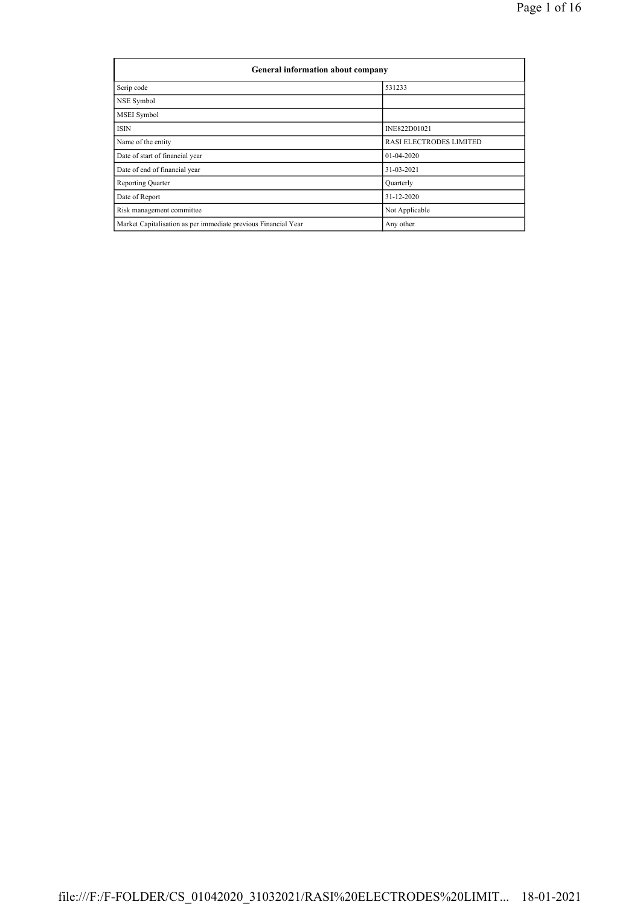|                                                                | General information about company |  |  |  |  |  |  |  |
|----------------------------------------------------------------|-----------------------------------|--|--|--|--|--|--|--|
| Scrip code                                                     | 531233                            |  |  |  |  |  |  |  |
| NSE Symbol                                                     |                                   |  |  |  |  |  |  |  |
| MSEI Symbol                                                    |                                   |  |  |  |  |  |  |  |
| <b>ISIN</b>                                                    | INE822D01021                      |  |  |  |  |  |  |  |
| Name of the entity                                             | <b>RASI ELECTRODES LIMITED</b>    |  |  |  |  |  |  |  |
| Date of start of financial year                                | 01-04-2020                        |  |  |  |  |  |  |  |
| Date of end of financial year                                  | 31-03-2021                        |  |  |  |  |  |  |  |
| <b>Reporting Quarter</b>                                       | Quarterly                         |  |  |  |  |  |  |  |
| Date of Report                                                 | 31-12-2020                        |  |  |  |  |  |  |  |
| Risk management committee                                      | Not Applicable                    |  |  |  |  |  |  |  |
| Market Capitalisation as per immediate previous Financial Year | Any other                         |  |  |  |  |  |  |  |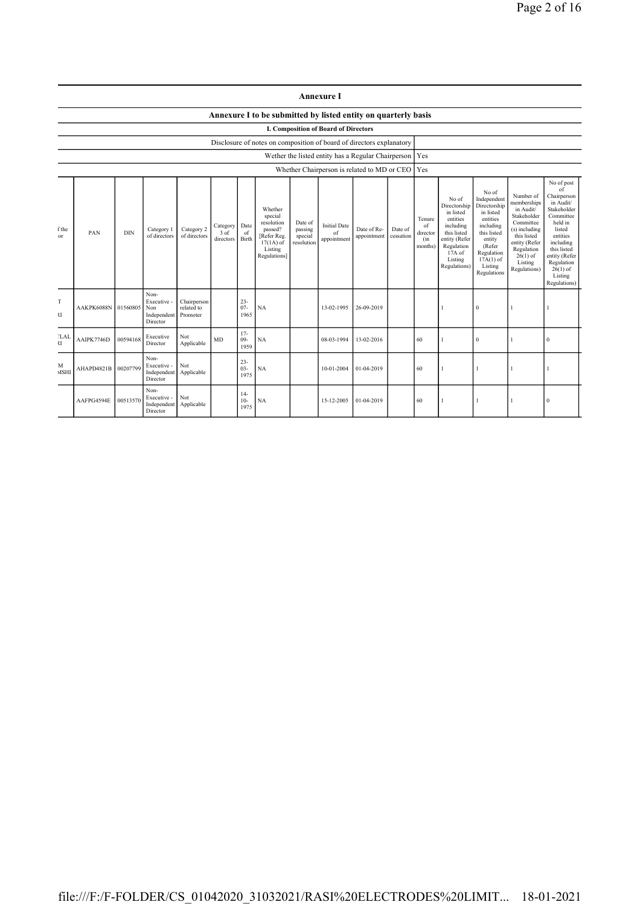|                                                                                                                                                                                                                                                                                                                                                                                                        |                                             |          |                                                       |                                       |                            |                          |                                                                | <b>Annexure I</b>                                                                                                                              |                                                                                                                                                                      |                                                                                                                                                                           |                                                                                                                                                                                                               |  |              |  |                  |  |
|--------------------------------------------------------------------------------------------------------------------------------------------------------------------------------------------------------------------------------------------------------------------------------------------------------------------------------------------------------------------------------------------------------|---------------------------------------------|----------|-------------------------------------------------------|---------------------------------------|----------------------------|--------------------------|----------------------------------------------------------------|------------------------------------------------------------------------------------------------------------------------------------------------|----------------------------------------------------------------------------------------------------------------------------------------------------------------------|---------------------------------------------------------------------------------------------------------------------------------------------------------------------------|---------------------------------------------------------------------------------------------------------------------------------------------------------------------------------------------------------------|--|--------------|--|------------------|--|
|                                                                                                                                                                                                                                                                                                                                                                                                        |                                             |          |                                                       |                                       |                            |                          | Annexure I to be submitted by listed entity on quarterly basis |                                                                                                                                                |                                                                                                                                                                      |                                                                                                                                                                           |                                                                                                                                                                                                               |  |              |  |                  |  |
|                                                                                                                                                                                                                                                                                                                                                                                                        | <b>I. Composition of Board of Directors</b> |          |                                                       |                                       |                            |                          |                                                                |                                                                                                                                                |                                                                                                                                                                      |                                                                                                                                                                           |                                                                                                                                                                                                               |  |              |  |                  |  |
| Disclosure of notes on composition of board of directors explanatory<br>Wether the listed entity has a Regular Chairperson   Yes                                                                                                                                                                                                                                                                       |                                             |          |                                                       |                                       |                            |                          |                                                                |                                                                                                                                                |                                                                                                                                                                      |                                                                                                                                                                           |                                                                                                                                                                                                               |  |              |  |                  |  |
|                                                                                                                                                                                                                                                                                                                                                                                                        |                                             |          |                                                       |                                       |                            |                          |                                                                |                                                                                                                                                |                                                                                                                                                                      |                                                                                                                                                                           | Yes                                                                                                                                                                                                           |  |              |  |                  |  |
| Whether Chairperson is related to MD or CEO<br>Whether<br>special<br>resolution<br>Date of<br><b>Initial Date</b><br>Date<br>Category<br>Category 2<br>passing<br>f the<br>Category 1<br>passed?<br>PAN<br><b>DIN</b><br>3 of<br>of<br>of<br>of directors<br>of directors<br>[Refer Reg.<br>special<br>or<br>Birth<br>appointment<br>directors<br>resolution<br>$17(1A)$ of<br>Listing<br>Regulations] |                                             |          |                                                       |                                       | Date of Re-<br>appointment | Date of<br>cessation     | Tenure<br>of<br>director<br>(in<br>months)                     | No of<br>Directorship<br>in listed<br>entities<br>including<br>this listed<br>entity (Refer<br>Regulation<br>17A of<br>Listing<br>Regulations) | No of<br>Independent<br>Directorship<br>in listed<br>entities<br>including<br>this listed<br>entity<br>(Refer<br>Regulation<br>$17A(1)$ of<br>Listing<br>Regulations | Number of<br>memberships<br>in Audit/<br>Stakeholder<br>Committee<br>(s) including<br>this listed<br>entity (Refer<br>Regulation<br>$26(1)$ of<br>Listing<br>Regulations) | No of post<br>of<br>Chairperson<br>in Audit/<br>Stakeholder<br>Committee<br>held in<br>listed<br>entities<br>including<br>this listed<br>entity (Refer<br>Regulation<br>$26(1)$ of<br>Listing<br>Regulations) |  |              |  |                  |  |
| T<br>U                                                                                                                                                                                                                                                                                                                                                                                                 | AAKPK6088N                                  | 01560805 | Non-<br>Executive -<br>Non<br>Independent<br>Director | Chairperson<br>related to<br>Promoter |                            | $23 -$<br>$07 -$<br>1965 | NA                                                             | 13-02-1995                                                                                                                                     | 26-09-2019                                                                                                                                                           |                                                                                                                                                                           |                                                                                                                                                                                                               |  | $\theta$     |  |                  |  |
| <b>LAI</b><br>$\overline{\mathbf{S}}$                                                                                                                                                                                                                                                                                                                                                                  | AAIPK7746D                                  | 00594168 | Executive<br>Director                                 | Not<br>Applicable                     | MD                         | $17-$<br>$09 -$<br>1959  | NA                                                             | 08-03-1994                                                                                                                                     | 13-02-2016                                                                                                                                                           |                                                                                                                                                                           | 60                                                                                                                                                                                                            |  | $\mathbf{0}$ |  | $\boldsymbol{0}$ |  |
| Non-<br>$23 -$<br>Not<br>M<br>Executive -<br>00207799<br>$03 -$<br>NA<br>AHAPD4821B<br>10-01-2004<br>01-04-2019<br>60<br>1<br><b>MSHI</b><br>Independent<br>Applicable<br>1975<br>Director                                                                                                                                                                                                             |                                             |          |                                                       |                                       |                            |                          |                                                                |                                                                                                                                                |                                                                                                                                                                      |                                                                                                                                                                           |                                                                                                                                                                                                               |  |              |  |                  |  |
|                                                                                                                                                                                                                                                                                                                                                                                                        | AAFPG4594E                                  | 00513570 | Non-<br>Executive -<br>Independent<br>Director        | Not<br>Applicable                     |                            | $14-$<br>$10-$<br>1975   | NA                                                             | 15-12-2005                                                                                                                                     | 01-04-2019                                                                                                                                                           |                                                                                                                                                                           | 60                                                                                                                                                                                                            |  |              |  | $\bf{0}$         |  |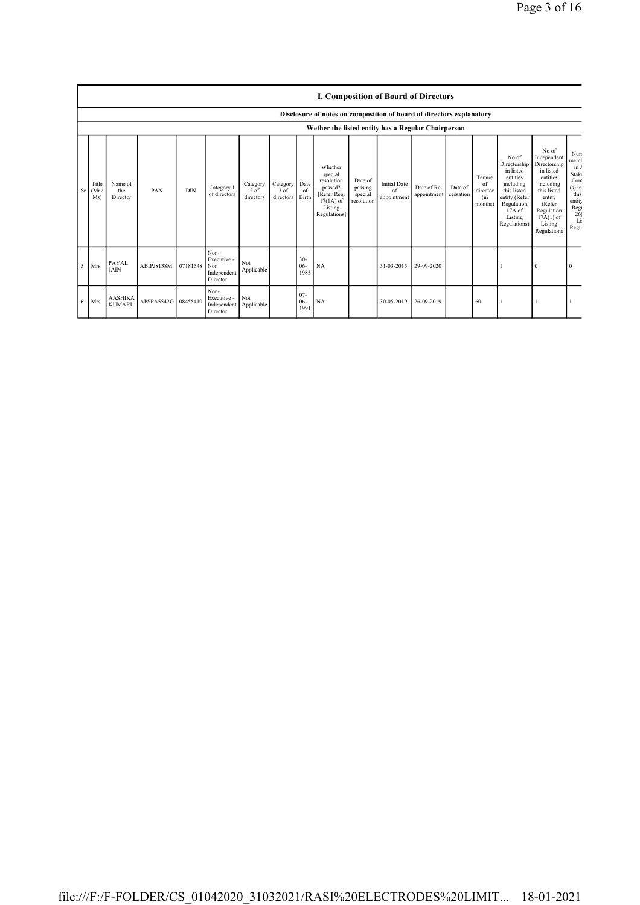|    |                                                    | <b>I. Composition of Board of Directors</b> |                     |            |                                                       |                                 |                               |                         |                                                                                                      |                                             |                                          |                            |                      |                                            |                                                                                                                                                  |                                                                                                                                                                      |                                                                                                  |
|----|----------------------------------------------------|---------------------------------------------|---------------------|------------|-------------------------------------------------------|---------------------------------|-------------------------------|-------------------------|------------------------------------------------------------------------------------------------------|---------------------------------------------|------------------------------------------|----------------------------|----------------------|--------------------------------------------|--------------------------------------------------------------------------------------------------------------------------------------------------|----------------------------------------------------------------------------------------------------------------------------------------------------------------------|--------------------------------------------------------------------------------------------------|
|    |                                                    |                                             |                     |            |                                                       |                                 |                               |                         | Disclosure of notes on composition of board of directors explanatory                                 |                                             |                                          |                            |                      |                                            |                                                                                                                                                  |                                                                                                                                                                      |                                                                                                  |
|    | Wether the listed entity has a Regular Chairperson |                                             |                     |            |                                                       |                                 |                               |                         |                                                                                                      |                                             |                                          |                            |                      |                                            |                                                                                                                                                  |                                                                                                                                                                      |                                                                                                  |
|    | Title<br>$Sr$ (Mr)<br>Ms)                          | Name of<br>the<br>Director                  | PAN                 | <b>DIN</b> | Category 1<br>of directors                            | Category<br>$2$ of<br>directors | Category<br>3 of<br>directors | Date<br>-of<br>Birth    | Whether<br>special<br>resolution<br>passed?<br>[Refer Reg.<br>$17(1A)$ of<br>Listing<br>Regulations] | Date of<br>passing<br>special<br>resolution | <b>Initial Date</b><br>of<br>appointment | Date of Re-<br>appointment | Date of<br>cessation | Tenure<br>of<br>director<br>(in<br>months) | No of<br>Directorship<br>in listed<br>entities<br>including<br>this listed<br>entity (Refer<br>Regulation<br>$17A$ of<br>Listing<br>Regulations) | No of<br>Independent<br>Directorship<br>in listed<br>entities<br>including<br>this listed<br>entity<br>(Refer<br>Regulation<br>$17A(1)$ of<br>Listing<br>Regulations | Nun<br>memb<br>$\ln l$<br>Stake<br>Com<br>$(s)$ in<br>this<br>entity<br>Reg<br>26(<br>Li<br>Regu |
| -5 | <b>Mrs</b>                                         | PAYAL<br><b>JAIN</b>                        | ABIPJ8138M          | 07181548   | Non-<br>Executive -<br>Non<br>Independent<br>Director | Not<br>Applicable               |                               | $30-$<br>$06-$<br>1985  | NA                                                                                                   |                                             | 31-03-2015                               | 29-09-2020                 |                      |                                            |                                                                                                                                                  | $\mathbf{0}$                                                                                                                                                         | 0                                                                                                |
| 6  | <b>Mrs</b>                                         | <b>AASHIKA</b><br><b>KUMARI</b>             | APSPA5542G 08455410 |            | Non-<br>Executive -<br>Independent<br>Director        | Not<br>Applicable               |                               | $07 -$<br>$06-$<br>1991 | NA                                                                                                   |                                             | 30-05-2019                               | 26-09-2019                 |                      | 60                                         |                                                                                                                                                  |                                                                                                                                                                      |                                                                                                  |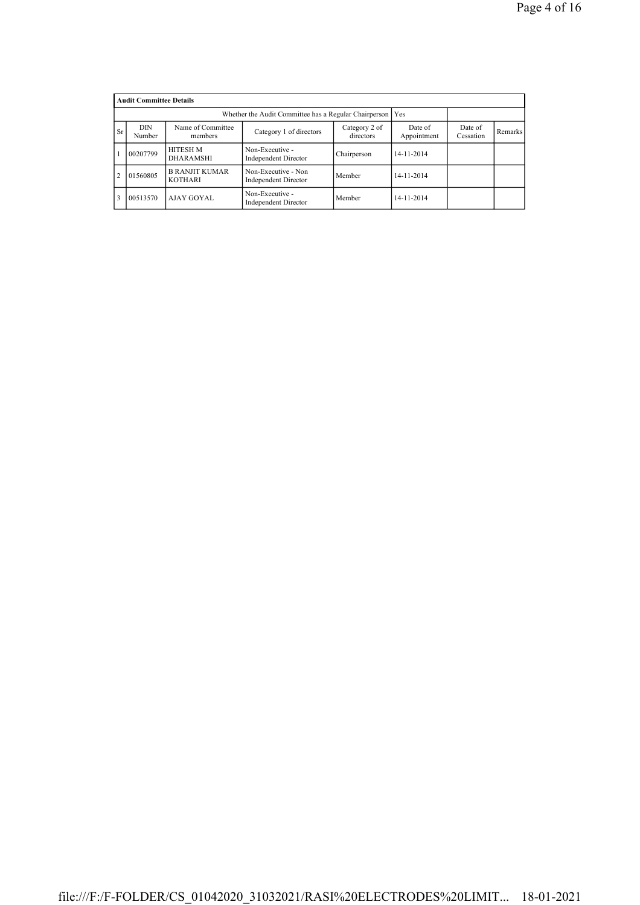|                | <b>Audit Committee Details</b> |                                         |                                                    |             |            |  |  |  |  |
|----------------|--------------------------------|-----------------------------------------|----------------------------------------------------|-------------|------------|--|--|--|--|
|                |                                | <b>Yes</b>                              |                                                    |             |            |  |  |  |  |
| <b>Sr</b>      | DIN<br>Number                  | Date of<br>Appointment                  | Date of<br>Cessation                               | Remarks     |            |  |  |  |  |
|                | 00207799                       | <b>HITESH M</b><br><b>DHARAMSHI</b>     | Non-Executive -<br><b>Independent Director</b>     | Chairperson | 14-11-2014 |  |  |  |  |
| $\overline{2}$ | 01560805                       | <b>B RANJIT KUMAR</b><br><b>KOTHARI</b> | Non-Executive - Non<br><b>Independent Director</b> | Member      | 14-11-2014 |  |  |  |  |
|                | 00513570                       | AJAY GOYAL                              | Non-Executive -<br><b>Independent Director</b>     | Member      | 14-11-2014 |  |  |  |  |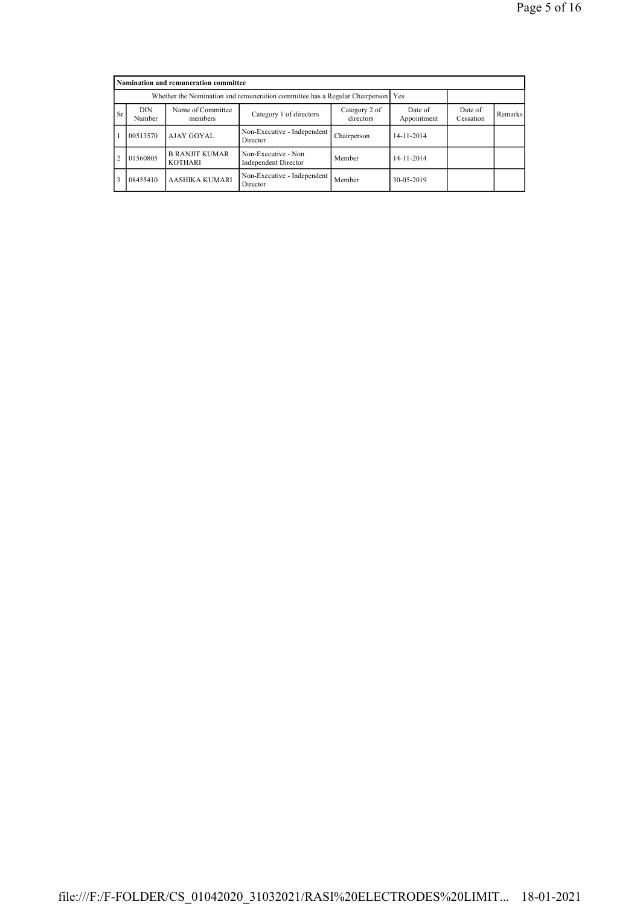|                | Nomination and remuneration committee                                           |                                         |                                                    |                      |            |  |  |  |  |
|----------------|---------------------------------------------------------------------------------|-----------------------------------------|----------------------------------------------------|----------------------|------------|--|--|--|--|
|                | Whether the Nomination and remuneration committee has a Regular Chairperson Yes |                                         |                                                    |                      |            |  |  |  |  |
| <b>Sr</b>      | DIN<br>Number                                                                   | Name of Committee<br>members            | Date of<br>Appointment                             | Date of<br>Cessation | Remarks    |  |  |  |  |
|                | 00513570                                                                        | AJAY GOYAL                              | Non-Executive - Independent<br>Director            | Chairperson          | 14-11-2014 |  |  |  |  |
| $\overline{2}$ | 01560805                                                                        | <b>B RANJIT KUMAR</b><br><b>KOTHARI</b> | Non-Executive - Non<br><b>Independent Director</b> | Member               | 14-11-2014 |  |  |  |  |
| 3              | 08455410                                                                        | AASHIKA KUMARI                          | Non-Executive - Independent<br>Director            | Member               | 30-05-2019 |  |  |  |  |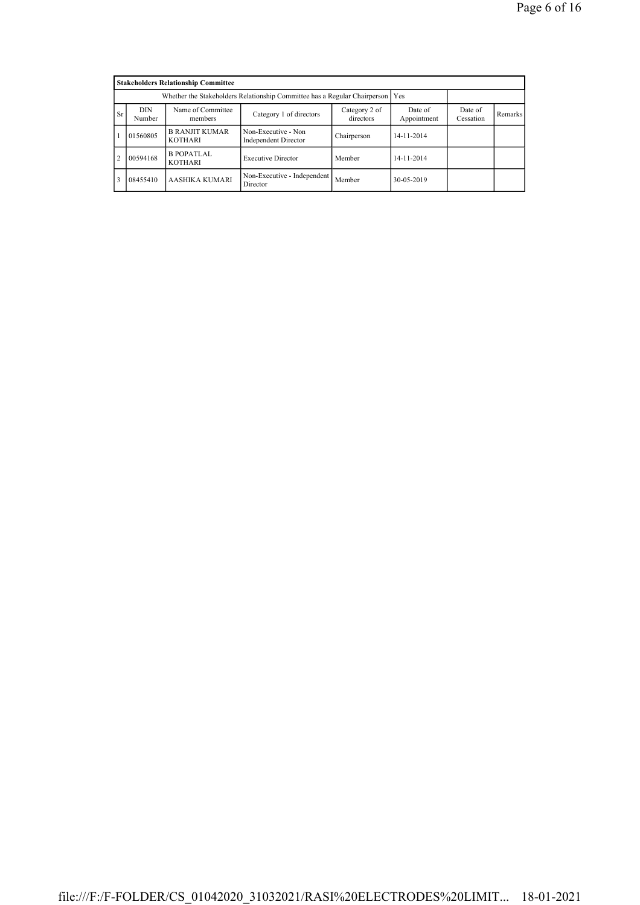|                |               | <b>Stakeholders Relationship Committee</b>                                      |                                             |             |            |  |  |
|----------------|---------------|---------------------------------------------------------------------------------|---------------------------------------------|-------------|------------|--|--|
|                |               | Whether the Stakeholders Relationship Committee has a Regular Chairperson   Yes |                                             |             |            |  |  |
| <b>Sr</b>      | DIN<br>Number | Date of<br>Cessation                                                            | Remarks                                     |             |            |  |  |
|                | 01560805      | <b>B RANJIT KUMAR</b><br><b>KOTHARI</b>                                         | Non-Executive - Non<br>Independent Director | Chairperson | 14-11-2014 |  |  |
| $\overline{2}$ | 00594168      | <b>B POPATLAL</b><br><b>KOTHARI</b>                                             | <b>Executive Director</b>                   | Member      | 14-11-2014 |  |  |
| 3              | 08455410      | AASHIKA KUMARI                                                                  | Non-Executive - Independent<br>Director     | Member      | 30-05-2019 |  |  |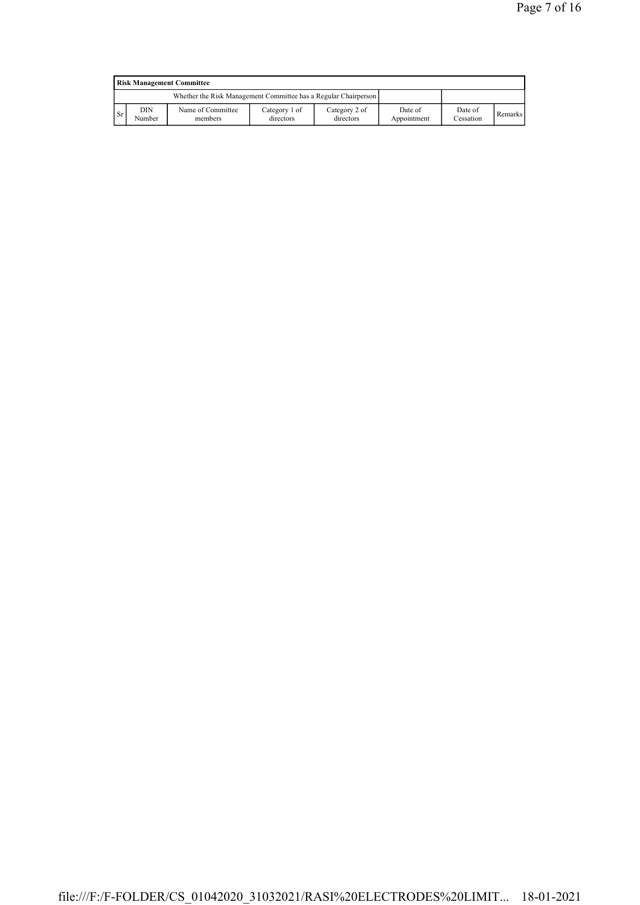|               | <b>Risk Management Committee</b> |                                                                 |                            |                            |                        |                      |                |  |  |
|---------------|----------------------------------|-----------------------------------------------------------------|----------------------------|----------------------------|------------------------|----------------------|----------------|--|--|
|               |                                  | Whether the Risk Management Committee has a Regular Chairperson |                            |                            |                        |                      |                |  |  |
| <sup>Sr</sup> | DIN<br>Number                    | Name of Committee<br>members                                    | Category 1 of<br>directors | Category 2 of<br>directors | Date of<br>Appointment | Date of<br>Cessation | <b>Remarks</b> |  |  |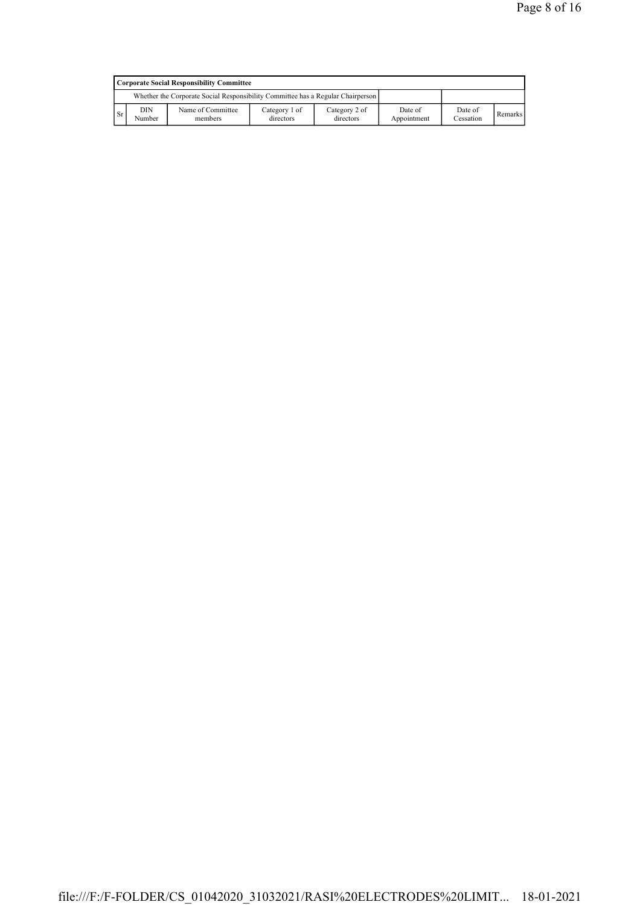|      | Corporate Social Responsibility Committee                                       |                              |                            |                            |                        |                      |         |  |  |
|------|---------------------------------------------------------------------------------|------------------------------|----------------------------|----------------------------|------------------------|----------------------|---------|--|--|
|      | Whether the Corporate Social Responsibility Committee has a Regular Chairperson |                              |                            |                            |                        |                      |         |  |  |
| l Sr | DIN<br>Number                                                                   | Name of Committee<br>members | Category 1 of<br>directors | Category 2 of<br>directors | Date of<br>Appointment | Date of<br>Cessation | Remarks |  |  |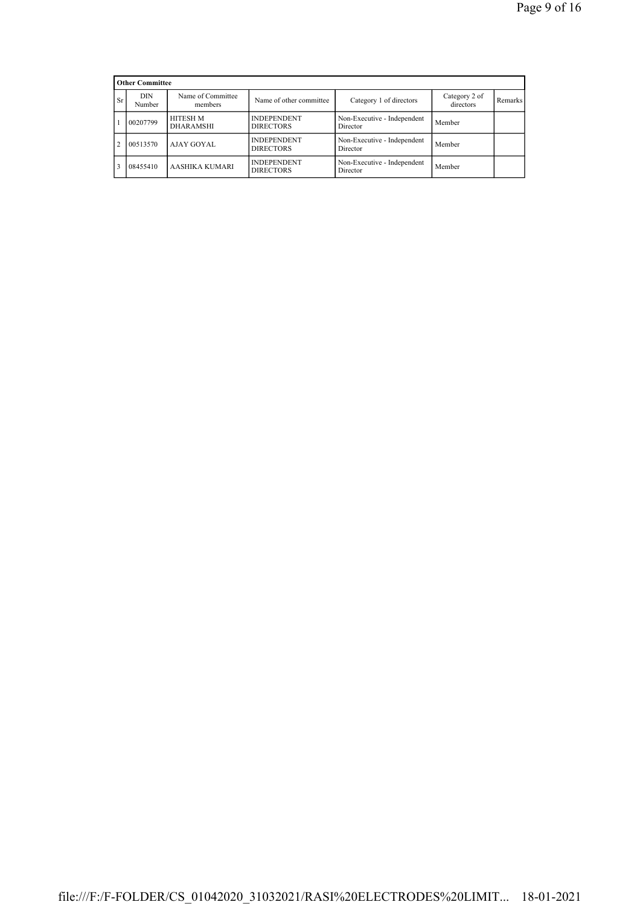|                | <b>Other Committee</b>                        |                                     |                                        |                                         |                            |         |
|----------------|-----------------------------------------------|-------------------------------------|----------------------------------------|-----------------------------------------|----------------------------|---------|
| <b>Sr</b>      | Name of Committee<br>DIN<br>Number<br>members |                                     | Name of other committee                | Category 1 of directors                 | Category 2 of<br>directors | Remarks |
|                | 00207799                                      | <b>HITESH M</b><br><b>DHARAMSHI</b> | <b>INDEPENDENT</b><br><b>DIRECTORS</b> | Non-Executive - Independent<br>Director | Member                     |         |
| $\overline{2}$ | 00513570                                      | AJAY GOYAL                          | <b>INDEPENDENT</b><br><b>DIRECTORS</b> | Non-Executive - Independent<br>Director | Member                     |         |
| 3              | 08455410                                      | AASHIKA KUMARI                      | <b>INDEPENDENT</b><br><b>DIRECTORS</b> | Non-Executive - Independent<br>Director | Member                     |         |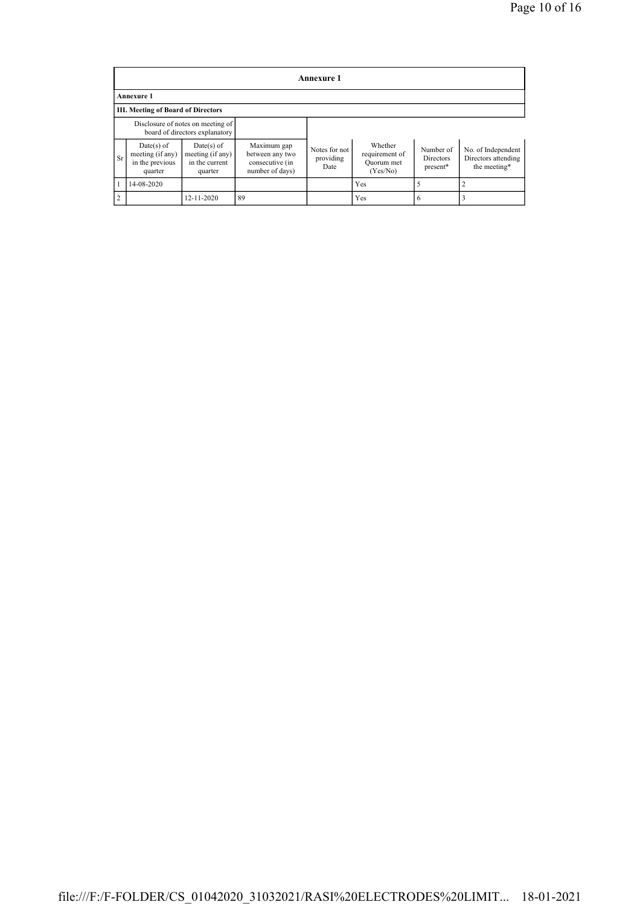|                | Annexure 1                                                     |                                                                     |                                                                      |                                    |                                                     |                                           |                                                           |  |
|----------------|----------------------------------------------------------------|---------------------------------------------------------------------|----------------------------------------------------------------------|------------------------------------|-----------------------------------------------------|-------------------------------------------|-----------------------------------------------------------|--|
|                | <b>Annexure 1</b>                                              |                                                                     |                                                                      |                                    |                                                     |                                           |                                                           |  |
|                | III. Meeting of Board of Directors                             |                                                                     |                                                                      |                                    |                                                     |                                           |                                                           |  |
|                |                                                                | Disclosure of notes on meeting of<br>board of directors explanatory |                                                                      |                                    |                                                     |                                           |                                                           |  |
| <b>Sr</b>      | $Date(s)$ of<br>meeting (if any)<br>in the previous<br>quarter | Date(s) of<br>meeting (if any)<br>in the current<br>quarter         | Maximum gap<br>between any two<br>consecutive (in<br>number of days) | Notes for not<br>providing<br>Date | Whether<br>requirement of<br>Quorum met<br>(Yes/No) | Number of<br><b>Directors</b><br>present* | No. of Independent<br>Directors attending<br>the meeting* |  |
|                | 14-08-2020                                                     |                                                                     |                                                                      |                                    | Yes                                                 |                                           |                                                           |  |
| $\overline{2}$ |                                                                | 12-11-2020                                                          | 89                                                                   |                                    | Yes                                                 | 6                                         |                                                           |  |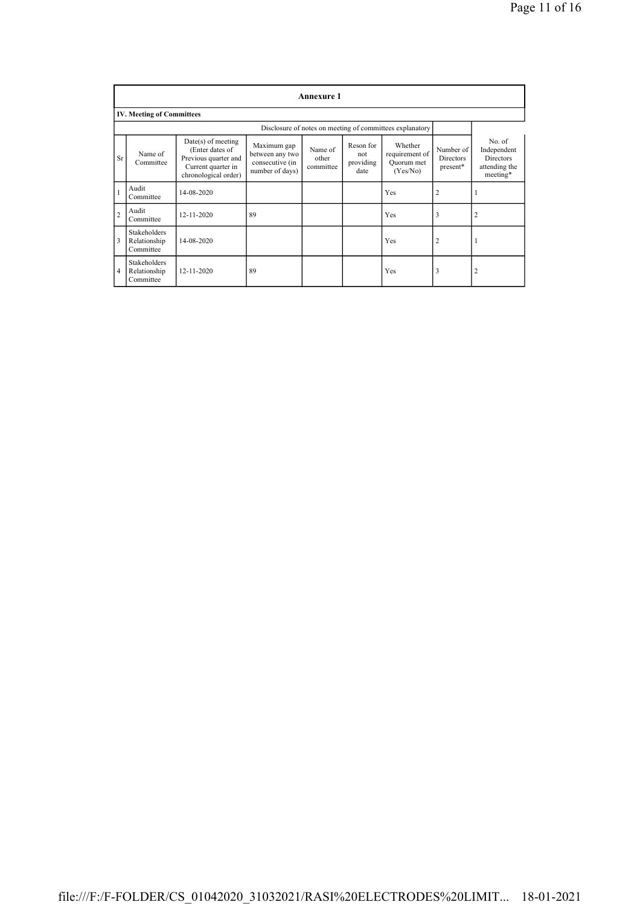|                |                                           |                                                                                                               |                                                                      | <b>Annexure 1</b>             |                                       |                                                          |                                    |                                                                 |
|----------------|-------------------------------------------|---------------------------------------------------------------------------------------------------------------|----------------------------------------------------------------------|-------------------------------|---------------------------------------|----------------------------------------------------------|------------------------------------|-----------------------------------------------------------------|
|                | <b>IV. Meeting of Committees</b>          |                                                                                                               |                                                                      |                               |                                       |                                                          |                                    |                                                                 |
|                |                                           |                                                                                                               |                                                                      |                               |                                       | Disclosure of notes on meeting of committees explanatory |                                    |                                                                 |
| Sr             | Name of<br>Committee                      | $Date(s)$ of meeting<br>(Enter dates of<br>Previous quarter and<br>Current quarter in<br>chronological order) | Maximum gap<br>between any two<br>consecutive (in<br>number of days) | Name of<br>other<br>committee | Reson for<br>not<br>providing<br>date | Whether<br>requirement of<br>Quorum met<br>(Yes/No)      | Number of<br>Directors<br>present* | No. of<br>Independent<br>Directors<br>attending the<br>meeting* |
| $\mathbf{1}$   | Audit<br>Committee                        | 14-08-2020                                                                                                    |                                                                      |                               |                                       | Yes                                                      | $\overline{2}$                     |                                                                 |
| $\overline{c}$ | Audit<br>Committee                        | $12 - 11 - 2020$                                                                                              | 89                                                                   |                               |                                       | Yes                                                      | 3                                  | $\overline{2}$                                                  |
| 3              | Stakeholders<br>Relationship<br>Committee | 14-08-2020                                                                                                    |                                                                      |                               |                                       | Yes                                                      | $\overline{2}$                     | 1                                                               |
| $\overline{4}$ | Stakeholders<br>Relationship<br>Committee | 12-11-2020                                                                                                    | 89                                                                   |                               |                                       | Yes                                                      | 3                                  | $\overline{2}$                                                  |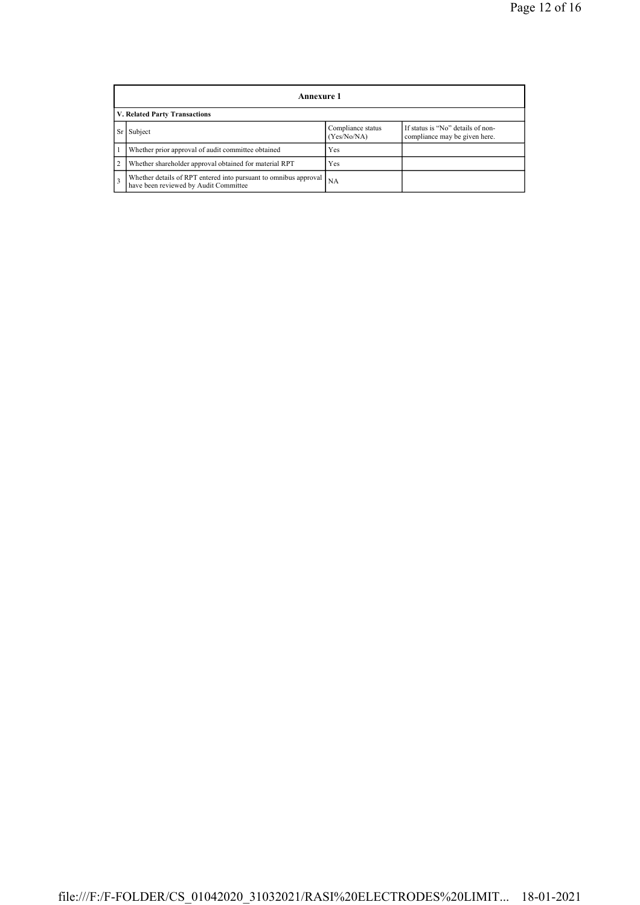|                | Annexure 1                                                                                                        |     |  |  |  |  |  |
|----------------|-------------------------------------------------------------------------------------------------------------------|-----|--|--|--|--|--|
|                | V. Related Party Transactions                                                                                     |     |  |  |  |  |  |
|                | If status is "No" details of non-<br>Compliance status<br>Subject<br>(Yes/No/NA)<br>compliance may be given here. |     |  |  |  |  |  |
|                | Whether prior approval of audit committee obtained                                                                | Yes |  |  |  |  |  |
| $\overline{2}$ | Whether shareholder approval obtained for material RPT                                                            | Yes |  |  |  |  |  |
| $\overline{3}$ | Whether details of RPT entered into pursuant to omnibus approval<br>have been reviewed by Audit Committee         | NA  |  |  |  |  |  |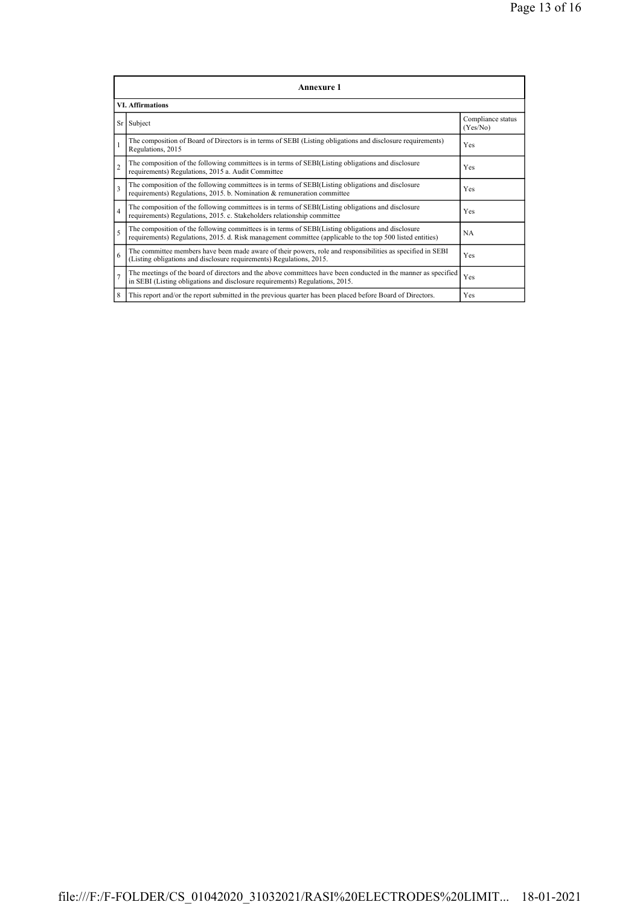| Annexure 1              |                                                                                                                                                                                                                 |                               |  |  |
|-------------------------|-----------------------------------------------------------------------------------------------------------------------------------------------------------------------------------------------------------------|-------------------------------|--|--|
| <b>VI.</b> Affirmations |                                                                                                                                                                                                                 |                               |  |  |
|                         | Sr Subject                                                                                                                                                                                                      | Compliance status<br>(Yes/No) |  |  |
| 1                       | The composition of Board of Directors is in terms of SEBI (Listing obligations and disclosure requirements)<br>Regulations, 2015                                                                                | Yes                           |  |  |
| $\overline{c}$          | The composition of the following committees is in terms of SEBI(Listing obligations and disclosure<br>requirements) Regulations, 2015 a. Audit Committee                                                        | Yes                           |  |  |
| $\overline{\mathbf{3}}$ | The composition of the following committees is in terms of SEBI(Listing obligations and disclosure<br>requirements) Regulations, 2015. b. Nomination & remuneration committee                                   | Yes                           |  |  |
| $\overline{4}$          | The composition of the following committees is in terms of SEBI(Listing obligations and disclosure<br>requirements) Regulations, 2015. c. Stakeholders relationship committee                                   | Yes                           |  |  |
| 5                       | The composition of the following committees is in terms of SEBI(Listing obligations and disclosure<br>requirements) Regulations, 2015. d. Risk management committee (applicable to the top 500 listed entities) | NA                            |  |  |
| 6                       | The committee members have been made aware of their powers, role and responsibilities as specified in SEBI<br>(Listing obligations and disclosure requirements) Regulations, 2015.                              | Yes                           |  |  |
| $\overline{7}$          | The meetings of the board of directors and the above committees have been conducted in the manner as specified<br>in SEBI (Listing obligations and disclosure requirements) Regulations, 2015.                  | Yes                           |  |  |
| 8                       | This report and/or the report submitted in the previous quarter has been placed before Board of Directors.                                                                                                      | Yes                           |  |  |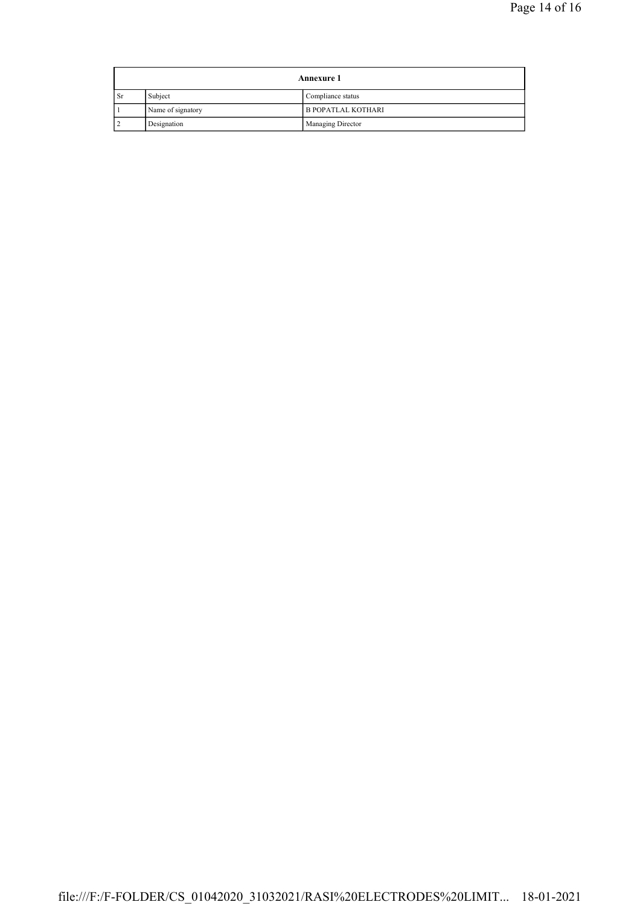| <b>Annexure 1</b> |                   |                           |
|-------------------|-------------------|---------------------------|
| <b>Sr</b>         | Subject           | Compliance status         |
|                   | Name of signatory | <b>B POPATLAL KOTHARI</b> |
|                   | Designation       | Managing Director         |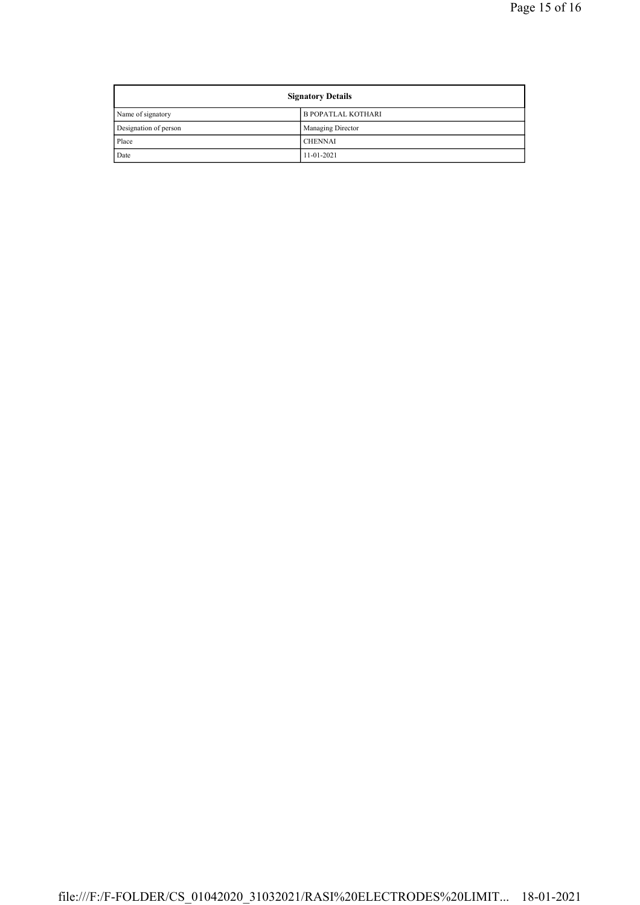| <b>Signatory Details</b> |                           |
|--------------------------|---------------------------|
| Name of signatory        | <b>B POPATLAL KOTHARI</b> |
| Designation of person    | Managing Director         |
| Place                    | <b>CHENNAI</b>            |
| Date                     | $11-01-2021$              |